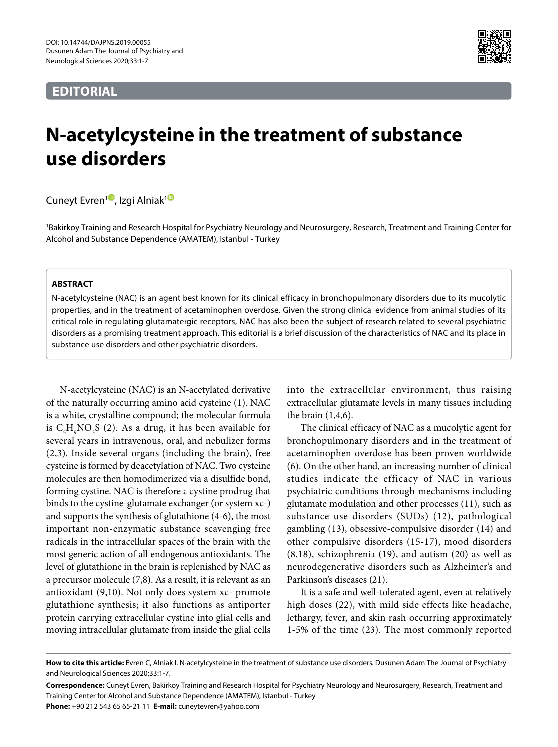# **EDITORIAL**



# **N-acetylcysteine in the treatment of substance use disorders**

Cuneyt Evren<sup>1</sup>[,](http://orcid.org/0000-0002-4431-3514) Izgi Alniak<sup>[1](http://orcid.org/0000-0002-9992-104X)0</sup>

1 Bakirkoy Training and Research Hospital for Psychiatry Neurology and Neurosurgery, Research, Treatment and Training Center for Alcohol and Substance Dependence (AMATEM), Istanbul - Turkey

# **ABSTRACT**

N-acetylcysteine (NAC) is an agent best known for its clinical efficacy in bronchopulmonary disorders due to its mucolytic properties, and in the treatment of acetaminophen overdose. Given the strong clinical evidence from animal studies of its critical role in regulating glutamatergic receptors, NAC has also been the subject of research related to several psychiatric disorders as a promising treatment approach. This editorial is a brief discussion of the characteristics of NAC and its place in substance use disorders and other psychiatric disorders.

N-acetylcysteine (NAC) is an N-acetylated derivative of the naturally occurring amino acid cysteine (1). NAC is a white, crystalline compound; the molecular formula is  $C_{5}H_{9}NO_{3}S$  (2). As a drug, it has been available for several years in intravenous, oral, and nebulizer forms (2,3). Inside several organs (including the brain), free cysteine is formed by deacetylation of NAC. Two cysteine molecules are then homodimerized via a disulfide bond, forming cystine. NAC is therefore a cystine prodrug that binds to the cystine-glutamate exchanger (or system xc-) and supports the synthesis of glutathione (4-6), the most important non-enzymatic substance scavenging free radicals in the intracellular spaces of the brain with the most generic action of all endogenous antioxidants. The level of glutathione in the brain is replenished by NAC as a precursor molecule (7,8). As a result, it is relevant as an antioxidant (9,10). Not only does system xc- promote glutathione synthesis; it also functions as antiporter protein carrying extracellular cystine into glial cells and moving intracellular glutamate from inside the glial cells

into the extracellular environment, thus raising extracellular glutamate levels in many tissues including the brain (1,4,6).

The clinical efficacy of NAC as a mucolytic agent for bronchopulmonary disorders and in the treatment of acetaminophen overdose has been proven worldwide (6). On the other hand, an increasing number of clinical studies indicate the efficacy of NAC in various psychiatric conditions through mechanisms including glutamate modulation and other processes (11), such as substance use disorders (SUDs) (12), pathological gambling (13), obsessive-compulsive disorder (14) and other compulsive disorders (15-17), mood disorders (8,18), schizophrenia (19), and autism (20) as well as neurodegenerative disorders such as Alzheimer's and Parkinson's diseases (21).

It is a safe and well-tolerated agent, even at relatively high doses (22), with mild side effects like headache, lethargy, fever, and skin rash occurring approximately 1-5% of the time (23). The most commonly reported

**How to cite this article:** Evren C, Alniak I. N-acetylcysteine in the treatment of substance use disorders. Dusunen Adam The Journal of Psychiatry and Neurological Sciences 2020;33:1-7.

**Correspondence:** Cuneyt Evren, Bakirkoy Training and Research Hospital for Psychiatry Neurology and Neurosurgery, Research, Treatment and Training Center for Alcohol and Substance Dependence (AMATEM), Istanbul - Turkey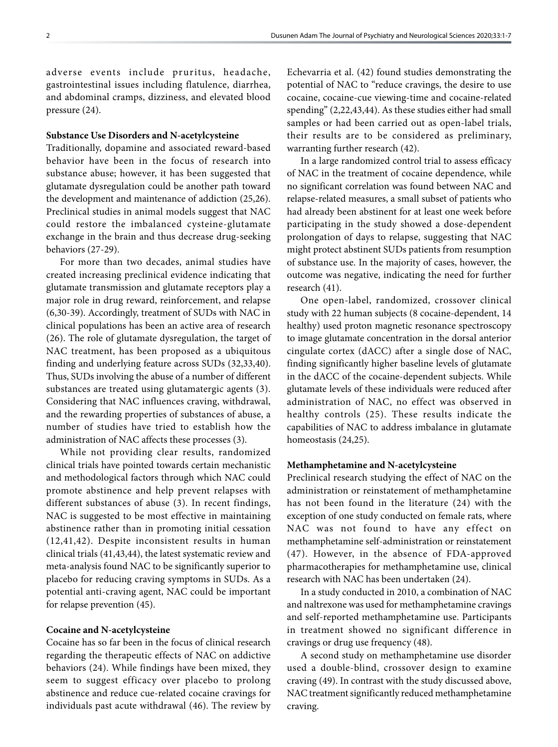adverse events include pruritus, headache, gastrointestinal issues including flatulence, diarrhea, and abdominal cramps, dizziness, and elevated blood pressure (24).

# **Substance Use Disorders and N-acetylcysteine**

Traditionally, dopamine and associated reward-based behavior have been in the focus of research into substance abuse; however, it has been suggested that glutamate dysregulation could be another path toward the development and maintenance of addiction (25,26). Preclinical studies in animal models suggest that NAC could restore the imbalanced cysteine-glutamate exchange in the brain and thus decrease drug-seeking behaviors (27-29).

For more than two decades, animal studies have created increasing preclinical evidence indicating that glutamate transmission and glutamate receptors play a major role in drug reward, reinforcement, and relapse (6,30-39). Accordingly, treatment of SUDs with NAC in clinical populations has been an active area of research (26). The role of glutamate dysregulation, the target of NAC treatment, has been proposed as a ubiquitous finding and underlying feature across SUDs (32,33,40). Thus, SUDs involving the abuse of a number of different substances are treated using glutamatergic agents (3). Considering that NAC influences craving, withdrawal, and the rewarding properties of substances of abuse, a number of studies have tried to establish how the administration of NAC affects these processes (3).

While not providing clear results, randomized clinical trials have pointed towards certain mechanistic and methodological factors through which NAC could promote abstinence and help prevent relapses with different substances of abuse (3). In recent findings, NAC is suggested to be most effective in maintaining abstinence rather than in promoting initial cessation (12,41,42). Despite inconsistent results in human clinical trials (41,43,44), the latest systematic review and meta-analysis found NAC to be significantly superior to placebo for reducing craving symptoms in SUDs. As a potential anti-craving agent, NAC could be important for relapse prevention (45).

## **Cocaine and N-acetylcysteine**

Cocaine has so far been in the focus of clinical research regarding the therapeutic effects of NAC on addictive behaviors (24). While findings have been mixed, they seem to suggest efficacy over placebo to prolong abstinence and reduce cue-related cocaine cravings for individuals past acute withdrawal (46). The review by Echevarria et al. (42) found studies demonstrating the potential of NAC to "reduce cravings, the desire to use cocaine, cocaine-cue viewing-time and cocaine-related spending" (2,22,43,44). As these studies either had small samples or had been carried out as open-label trials, their results are to be considered as preliminary, warranting further research (42).

In a large randomized control trial to assess efficacy of NAC in the treatment of cocaine dependence, while no significant correlation was found between NAC and relapse-related measures, a small subset of patients who had already been abstinent for at least one week before participating in the study showed a dose-dependent prolongation of days to relapse, suggesting that NAC might protect abstinent SUDs patients from resumption of substance use. In the majority of cases, however, the outcome was negative, indicating the need for further research (41).

One open-label, randomized, crossover clinical study with 22 human subjects (8 cocaine-dependent, 14 healthy) used proton magnetic resonance spectroscopy to image glutamate concentration in the dorsal anterior cingulate cortex (dACC) after a single dose of NAC, finding significantly higher baseline levels of glutamate in the dACC of the cocaine-dependent subjects. While glutamate levels of these individuals were reduced after administration of NAC, no effect was observed in healthy controls (25). These results indicate the capabilities of NAC to address imbalance in glutamate homeostasis (24,25).

## **Methamphetamine and N-acetylcysteine**

Preclinical research studying the effect of NAC on the administration or reinstatement of methamphetamine has not been found in the literature (24) with the exception of one study conducted on female rats, where NAC was not found to have any effect on methamphetamine self-administration or reinstatement (47). However, in the absence of FDA-approved pharmacotherapies for methamphetamine use, clinical research with NAC has been undertaken (24).

In a study conducted in 2010, a combination of NAC and naltrexone was used for methamphetamine cravings and self-reported methamphetamine use. Participants in treatment showed no significant difference in cravings or drug use frequency (48).

A second study on methamphetamine use disorder used a double-blind, crossover design to examine craving (49). In contrast with the study discussed above, NAC treatment significantly reduced methamphetamine craving.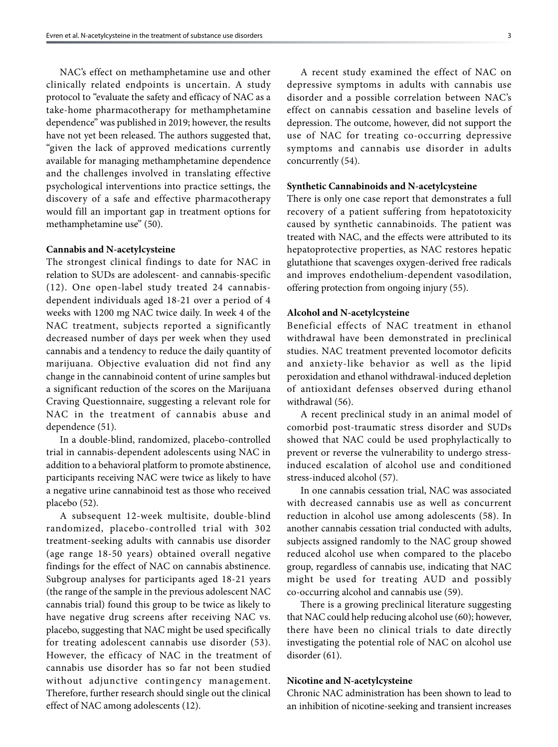NAC's effect on methamphetamine use and other clinically related endpoints is uncertain. A study protocol to "evaluate the safety and efficacy of NAC as a take-home pharmacotherapy for methamphetamine dependence" was published in 2019; however, the results have not yet been released. The authors suggested that, "given the lack of approved medications currently available for managing methamphetamine dependence and the challenges involved in translating effective psychological interventions into practice settings, the discovery of a safe and effective pharmacotherapy would fill an important gap in treatment options for methamphetamine use" (50).

#### **Cannabis and N-acetylcysteine**

The strongest clinical findings to date for NAC in relation to SUDs are adolescent- and cannabis-specific (12). One open-label study treated 24 cannabisdependent individuals aged 18-21 over a period of 4 weeks with 1200 mg NAC twice daily. In week 4 of the NAC treatment, subjects reported a significantly decreased number of days per week when they used cannabis and a tendency to reduce the daily quantity of marijuana. Objective evaluation did not find any change in the cannabinoid content of urine samples but a significant reduction of the scores on the Marijuana Craving Questionnaire, suggesting a relevant role for NAC in the treatment of cannabis abuse and dependence (51).

In a double-blind, randomized, placebo-controlled trial in cannabis-dependent adolescents using NAC in addition to a behavioral platform to promote abstinence, participants receiving NAC were twice as likely to have a negative urine cannabinoid test as those who received placebo (52).

A subsequent 12-week multisite, double-blind randomized, placebo-controlled trial with 302 treatment-seeking adults with cannabis use disorder (age range 18-50 years) obtained overall negative findings for the effect of NAC on cannabis abstinence. Subgroup analyses for participants aged 18-21 years (the range of the sample in the previous adolescent NAC cannabis trial) found this group to be twice as likely to have negative drug screens after receiving NAC vs. placebo, suggesting that NAC might be used specifically for treating adolescent cannabis use disorder (53). However, the efficacy of NAC in the treatment of cannabis use disorder has so far not been studied without adjunctive contingency management. Therefore, further research should single out the clinical effect of NAC among adolescents (12).

A recent study examined the effect of NAC on depressive symptoms in adults with cannabis use disorder and a possible correlation between NAC's effect on cannabis cessation and baseline levels of depression. The outcome, however, did not support the use of NAC for treating co-occurring depressive symptoms and cannabis use disorder in adults concurrently (54).

# **Synthetic Cannabinoids and N-acetylcysteine**

There is only one case report that demonstrates a full recovery of a patient suffering from hepatotoxicity caused by synthetic cannabinoids. The patient was treated with NAC, and the effects were attributed to its hepatoprotective properties, as NAC restores hepatic glutathione that scavenges oxygen-derived free radicals and improves endothelium-dependent vasodilation, offering protection from ongoing injury (55).

## **Alcohol and N-acetylcysteine**

Beneficial effects of NAC treatment in ethanol withdrawal have been demonstrated in preclinical studies. NAC treatment prevented locomotor deficits and anxiety-like behavior as well as the lipid peroxidation and ethanol withdrawal-induced depletion of antioxidant defenses observed during ethanol withdrawal (56).

A recent preclinical study in an animal model of comorbid post-traumatic stress disorder and SUDs showed that NAC could be used prophylactically to prevent or reverse the vulnerability to undergo stressinduced escalation of alcohol use and conditioned stress-induced alcohol (57).

In one cannabis cessation trial, NAC was associated with decreased cannabis use as well as concurrent reduction in alcohol use among adolescents (58). In another cannabis cessation trial conducted with adults, subjects assigned randomly to the NAC group showed reduced alcohol use when compared to the placebo group, regardless of cannabis use, indicating that NAC might be used for treating AUD and possibly co-occurring alcohol and cannabis use (59).

There is a growing preclinical literature suggesting that NAC could help reducing alcohol use (60); however, there have been no clinical trials to date directly investigating the potential role of NAC on alcohol use disorder (61).

## **Nicotine and N-acetylcysteine**

Chronic NAC administration has been shown to lead to an inhibition of nicotine-seeking and transient increases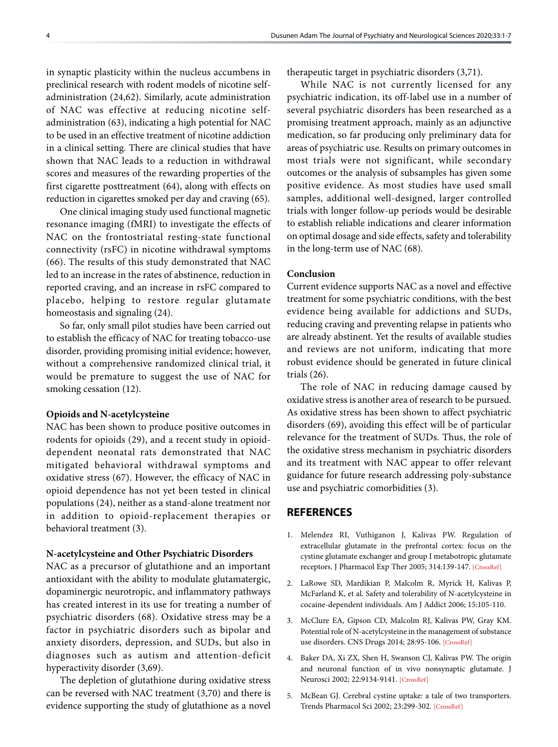in synaptic plasticity within the nucleus accumbens in preclinical research with rodent models of nicotine selfadministration (24,62). Similarly, acute administration of NAC was effective at reducing nicotine selfadministration (63), indicating a high potential for NAC to be used in an effective treatment of nicotine addiction in a clinical setting. There are clinical studies that have shown that NAC leads to a reduction in withdrawal scores and measures of the rewarding properties of the first cigarette posttreatment (64), along with effects on reduction in cigarettes smoked per day and craving (65).

One clinical imaging study used functional magnetic resonance imaging (fMRI) to investigate the effects of NAC on the frontostriatal resting-state functional connectivity (rsFC) in nicotine withdrawal symptoms (66). The results of this study demonstrated that NAC led to an increase in the rates of abstinence, reduction in reported craving, and an increase in rsFC compared to placebo, helping to restore regular glutamate homeostasis and signaling (24).

So far, only small pilot studies have been carried out to establish the efficacy of NAC for treating tobacco-use disorder, providing promising initial evidence; however, without a comprehensive randomized clinical trial, it would be premature to suggest the use of NAC for smoking cessation (12).

## **Opioids and N-acetylcysteine**

NAC has been shown to produce positive outcomes in rodents for opioids (29), and a recent study in opioiddependent neonatal rats demonstrated that NAC mitigated behavioral withdrawal symptoms and oxidative stress (67). However, the efficacy of NAC in opioid dependence has not yet been tested in clinical populations (24), neither as a stand-alone treatment nor in addition to opioid-replacement therapies or behavioral treatment (3).

# **N-acetylcysteine and Other Psychiatric Disorders**

NAC as a precursor of glutathione and an important antioxidant with the ability to modulate glutamatergic, dopaminergic neurotropic, and inflammatory pathways has created interest in its use for treating a number of psychiatric disorders (68). Oxidative stress may be a factor in psychiatric disorders such as bipolar and anxiety disorders, depression, and SUDs, but also in diagnoses such as autism and attention-deficit hyperactivity disorder (3,69).

The depletion of glutathione during oxidative stress can be reversed with NAC treatment (3,70) and there is evidence supporting the study of glutathione as a novel

therapeutic target in psychiatric disorders (3,71).

While NAC is not currently licensed for any psychiatric indication, its off-label use in a number of several psychiatric disorders has been researched as a promising treatment approach, mainly as an adjunctive medication, so far producing only preliminary data for areas of psychiatric use. Results on primary outcomes in most trials were not significant, while secondary outcomes or the analysis of subsamples has given some positive evidence. As most studies have used small samples, additional well-designed, larger controlled trials with longer follow-up periods would be desirable to establish reliable indications and clearer information on optimal dosage and side effects, safety and tolerability in the long-term use of NAC (68).

#### **Conclusion**

Current evidence supports NAC as a novel and effective treatment for some psychiatric conditions, with the best evidence being available for addictions and SUDs, reducing craving and preventing relapse in patients who are already abstinent. Yet the results of available studies and reviews are not uniform, indicating that more robust evidence should be generated in future clinical trials (26).

The role of NAC in reducing damage caused by oxidative stress is another area of research to be pursued. As oxidative stress has been shown to affect psychiatric disorders (69), avoiding this effect will be of particular relevance for the treatment of SUDs. Thus, the role of the oxidative stress mechanism in psychiatric disorders and its treatment with NAC appear to offer relevant guidance for future research addressing poly-substance use and psychiatric comorbidities (3).

# **REFERENCES**

- 1. Melendez RI, Vuthiganon J, Kalivas PW. Regulation of extracellular glutamate in the prefrontal cortex: focus on the cystine glutamate exchanger and group I metabotropic glutamate receptors. J Pharmacol Exp Ther 2005; 314:139-14[7. \[CrossRef\]](+)
- 2. LaRowe SD, Mardikian P, Malcolm R, Myrick H, Kalivas P, McFarland K, et al. Safety and tolerability of N-acetylcysteine in cocaine-dependent individuals. [Am J Addict 2006; 15:105-110.](https://doi.org/10.1080/10550490500419169)
- 3. McClure EA, Gipson CD, Malcolm RJ, Kalivas PW, Gray KM. Potential role of N-acetylcysteine in the management of substance use disorders. CNS Drugs 2014; 28:95-106. [\[CrossRef\]](https://doi.org/10.1007/s40263-014-0142-x)
- 4. Baker DA, Xi ZX, Shen H, Swanson CJ, Kalivas PW. The origin and neuronal function of in vivo nonsynaptic glutamate. J Neurosci 2002; 22:9134-9141[. \[CrossRef\]](https://doi.org/10.1523/JNEUROSCI.22-20-09134.2002)
- 5. McBean GJ. Cerebral cystine uptake: a tale of two transporters. Trends Pharmacol Sci 2002; 23:299-302. [\[CrossRef\]](https://doi.org/10.1016/S0165-6147(02)02060-6)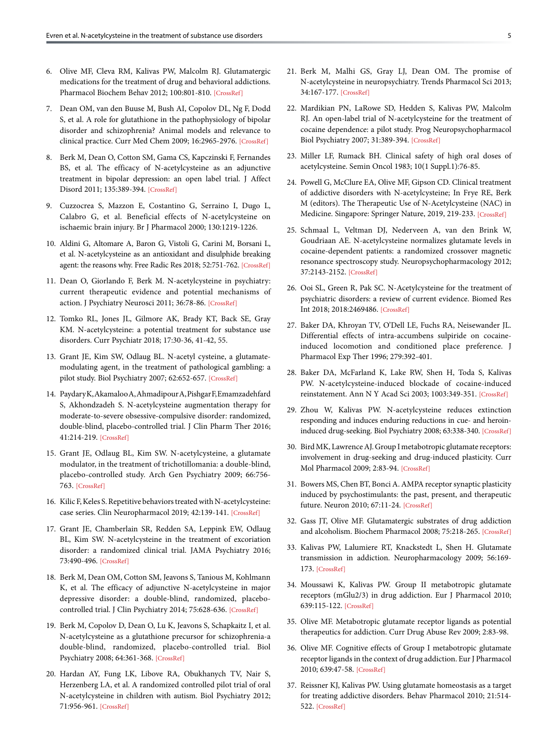- 6. Olive MF, Cleva RM, Kalivas PW, Malcolm RJ. Glutamatergic medications for the treatment of drug and behavioral addictions. Pharmacol Biochem Behav 2012; 100:801-810. [\[CrossRef\]](https://doi.org/10.1016/j.pbb.2011.04.015)
- 7. Dean OM, van den Buuse M, Bush AI, Copolov DL, Ng F, Dodd S, et al. A role for glutathione in the pathophysiology of bipolar disorder and schizophrenia? Animal models and relevance to clinical practice. Curr Med Chem 2009; 16:2965-297[6. \[CrossRef\]](https://doi.org/10.2174/092986709788803060)
- 8. Berk M, Dean O, Cotton SM, Gama CS, Kapczinski F, Fernandes BS, et al. The efficacy of N-acetylcysteine as an adjunctive treatment in bipolar depression: an open label trial. J Affect Disord 2011; 135:389-39[4. \[CrossRef\]](https://doi.org/10.1016/j.jad.2011.06.005)
- 9. Cuzzocrea S, Mazzon E, Costantino G, Serraino I, Dugo L, Calabro G, et al. Beneficial effects of N-acetylcysteine on ischaemic brain injury[. Br J Pharmacol 2000; 130:1219-1226.](https://doi.org/10.1038/sj.bjp.0703421)
- 10. Aldini G, Altomare A, Baron G, Vistoli G, Carini M, Borsani L, et al. N-acetylcysteine as an antioxidant and disulphide breaking agent: the reasons why. Free Radic Res 2018; 52:751-762[. \[CrossRef\]](https://doi.org/10.1080/10715762.2018.1468564)
- 11. Dean O, Giorlando F, Berk M. N-acetylcysteine in psychiatry: current therapeutic evidence and potential mechanisms of action. J Psychiatry Neurosci 2011; 36:78-86[. \[CrossRef\]](https://doi.org/10.1503/jpn.100057)
- 12. Tomko RL, Jones JL, Gilmore AK, Brady KT, Back SE, Gray KM. N-acetylcysteine: a potential treatment for substance use disorders. Curr Psychiatr 2018; 17:30-36, 41-42, 55.
- 13. Grant JE, Kim SW, Odlaug BL. N-acetyl cysteine, a glutamatemodulating agent, in the treatment of pathological gambling: a pilot study. Biol Psychiatry 2007; 62:652-65[7. \[CrossRef\]](https://doi.org/10.1016/j.biopsych.2006.11.021)
- 14. Paydary K, Akamaloo A, Ahmadipour A, Pishgar F, Emamzadehfard S, Akhondzadeh S. N-acetylcysteine augmentation therapy for moderate-to-severe obsessive-compulsive disorder: randomized, double-blind, placebo-controlled trial. J Clin Pharm Ther 2016; 41:214-21[9. \[CrossRef\]](https://doi.org/10.1111/jcpt.12370)
- 15. Grant JE, Odlaug BL, Kim SW. N-acetylcysteine, a glutamate modulator, in the treatment of trichotillomania: a double-blind, placebo-controlled study. Arch Gen Psychiatry 2009; 66:756- 763. [\[CrossRef\]](https://doi.org/10.1001/archgenpsychiatry.2009.60)
- 16. Kilic F, Keles S. Repetitive behaviors treated with N-acetylcysteine: case series. Clin Neuropharmacol 2019; 42:139-141[. \[CrossRef\]](https://doi.org/10.1097/WNF.0000000000000352)
- 17. Grant JE, Chamberlain SR, Redden SA, Leppink EW, Odlaug BL, Kim SW. N-acetylcysteine in the treatment of excoriation disorder: a randomized clinical trial. JAMA Psychiatry 2016; 73:490-49[6. \[CrossRef\]](https://doi.org/10.1001/jamapsychiatry.2016.0060)
- 18. Berk M, Dean OM, Cotton SM, Jeavons S, Tanious M, Kohlmann K, et al. The efficacy of adjunctive N-acetylcysteine in major depressive disorder: a double-blind, randomized, placebocontrolled trial. J Clin Psychiatry 2014; 75:628-636[. \[CrossRef\]](https://doi.org/10.4088/JCP.13m08454)
- 19. Berk M, Copolov D, Dean O, Lu K, Jeavons S, Schapkaitz I, et al. N-acetylcysteine as a glutathione precursor for schizophrenia-a double-blind, randomized, placebo-controlled trial. Biol Psychiatry 2008; 64:361-368[. \[CrossRef\]](https://doi.org/10.1016/j.biopsych.2008.04.022)
- 20. Hardan AY, Fung LK, Libove RA, Obukhanych TV, Nair S, Herzenberg LA, et al. A randomized controlled pilot trial of oral N-acetylcysteine in children with autism. Biol Psychiatry 2012; 71:956-96[1. \[CrossRef\]](https://doi.org/10.1016/j.biopsych.2012.01.014)
- 21. Berk M, Malhi GS, Gray LJ, Dean OM. The promise of N-acetylcysteine in neuropsychiatry. Trends Pharmacol Sci 2013; 34:167-177. [\[CrossRef\]](https://doi.org/10.1016/j.tips.2013.01.001)
- 22. Mardikian PN, LaRowe SD, Hedden S, Kalivas PW, Malcolm RJ. An open-label trial of N-acetylcysteine for the treatment of cocaine dependence: a pilot study. Prog Neuropsychopharmacol Biol Psychiatry 2007; 31:389-394[. \[CrossRef\]](https://doi.org/10.1016/j.pnpbp.2006.10.001)
- 23. Miller LF, Rumack BH. Clinical safety of high oral doses of acetylcysteine. Semin Oncol 1983; 10(1 Suppl.1):76-85.
- 24. Powell G, McClure EA, Olive MF, Gipson CD. Clinical treatment of addictive disorders with N-acetylcysteine; In Frye RE, Berk M (editors). The Therapeutic Use of N-Acetylcysteine (NAC) in Medicine. Singapore: Springer Nature, 2019, 219-233. [\[CrossRef\]](https://doi.org/10.1007/978-981-10-5311-5_13)
- 25. Schmaal L, Veltman DJ, Nederveen A, van den Brink W, Goudriaan AE. N-acetylcysteine normalizes glutamate levels in cocaine-dependent patients: a randomized crossover magnetic resonance spectroscopy study. Neuropsychopharmacology 2012; 37:2143-2152[. \[CrossRef\]](https://doi.org/10.1038/npp.2012.66)
- 26. Ooi SL, Green R, Pak SC. N-Acetylcysteine for the treatment of psychiatric disorders: a review of current evidence. Biomed Res Int 2018; 2018:246948[6. \[CrossRef\]](https://doi.org/10.1155/2018/2469486)
- 27. Baker DA, Khroyan TV, O'Dell LE, Fuchs RA, Neisewander JL. Differential effects of intra-accumbens sulpiride on cocaineinduced locomotion and conditioned place preference. J Pharmacol Exp Ther 1996; 279:392-401.
- 28. Baker DA, McFarland K, Lake RW, Shen H, Toda S, Kalivas PW. N-acetylcysteine-induced blockade of cocaine-induced reinstatement. Ann N Y Acad Sci 2003; 1003:349-351. [\[CrossRef\]](https://doi.org/10.1196/annals.1300.023)
- 29. Zhou W, Kalivas PW. N-acetylcysteine reduces extinction responding and induces enduring reductions in cue- and heroininduced drug-seeking. Biol Psychiatry 2008; 63:338-340[. \[CrossRef\]](https://doi.org/10.1016/j.biopsych.2007.06.008)
- 30. Bird MK, Lawrence AJ. Group I metabotropic glutamate receptors: involvement in drug-seeking and drug-induced plasticity. Curr Mol Pharmacol 2009; 2:83-94. [\[CrossRef\]](https://doi.org/10.2174/1874467210902010083)
- 31. Bowers MS, Chen BT, Bonci A. AMPA receptor synaptic plasticity induced by psychostimulants: the past, present, and therapeutic future. Neuron 2010; 67:11-24. [\[CrossRef\]](https://doi.org/10.1016/j.neuron.2010.06.004)
- 32. Gass JT, Olive MF. Glutamatergic substrates of drug addiction and alcoholism. Biochem Pharmacol 2008; 75:218-265. [\[CrossRef\]](https://doi.org/10.1016/j.bcp.2007.06.039)
- 33. Kalivas PW, Lalumiere RT, Knackstedt L, Shen H. Glutamate transmission in addiction. Neuropharmacology 2009; 56:169- 173. [\[CrossRef\]](https://doi.org/10.1016/j.neuropharm.2008.07.011)
- 34. Moussawi K, Kalivas PW. Group II metabotropic glutamate receptors (mGlu2/3) in drug addiction. Eur J Pharmacol 2010; 639:115-122. [\[CrossRef\]](https://doi.org/10.1016/j.ejphar.2010.01.030)
- 35. Olive MF. Metabotropic glutamate receptor ligands as potential therapeutics for addiction. [Curr Drug Abuse Rev 2009; 2:83-98.](https://doi.org/10.2174/1874473710902010083)
- 36. Olive MF. Cognitive effects of Group I metabotropic glutamate receptor ligands in the context of drug addiction. Eur J Pharmacol 2010; 639:47-58[. \[CrossRef\]](https://doi.org/10.1016/j.ejphar.2010.01.029)
- 37. Reissner KJ, Kalivas PW. Using glutamate homeostasis as a target for treating addictive disorders. Behav Pharmacol 2010; 21:514- 522[. \[CrossRef\]](https://doi.org/10.1097/FBP.0b013e32833d41b2)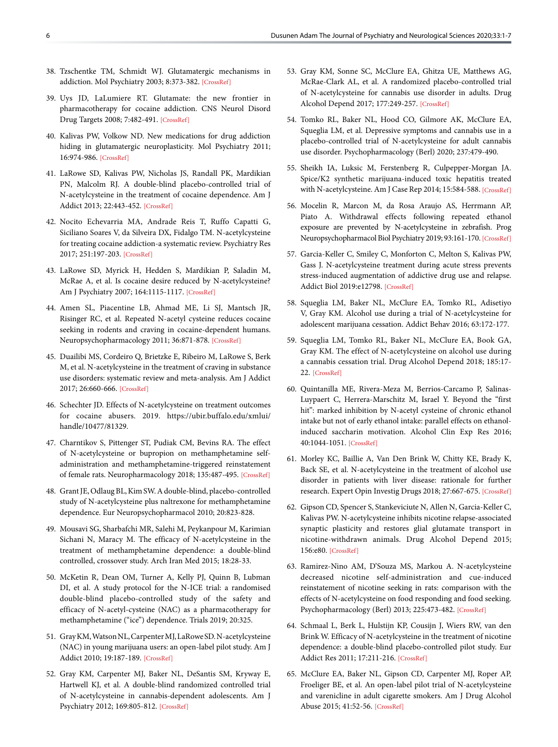- 38. Tzschentke TM, Schmidt WJ. Glutamatergic mechanisms in addiction. Mol Psychiatry 2003; 8:373-38[2. \[CrossRef\]](https://doi.org/10.1038/sj.mp.4001269)
- 39. Uys JD, LaLumiere RT. Glutamate: the new frontier in pharmacotherapy for cocaine addiction. CNS Neurol Disord Drug Targets 2008; 7:482-491[. \[CrossRef\]](https://doi.org/10.2174/187152708786927868)
- 40. Kalivas PW, Volkow ND. New medications for drug addiction hiding in glutamatergic neuroplasticity. Mol Psychiatry 2011; 16:974-986. [\[CrossRef\]](https://doi.org/10.1038/mp.2011.46)
- 41. LaRowe SD, Kalivas PW, Nicholas JS, Randall PK, Mardikian PN, Malcolm RJ. A double-blind placebo-controlled trial of N-acetylcysteine in the treatment of cocaine dependence. Am J Addict 2013; 22:443-452. [\[CrossRef\]](https://doi.org/10.1111/j.1521-0391.2013.12034.x)
- 42. Nocito Echevarria MA, Andrade Reis T, Ruffo Capatti G, Siciliano Soares V, da Silveira DX, Fidalgo TM. N-acetylcysteine for treating cocaine addiction-a systematic review. Psychiatry Res 2017; 251:197-203. [\[CrossRef\]](https://doi.org/10.1016/j.psychres.2017.02.024)
- 43. LaRowe SD, Myrick H, Hedden S, Mardikian P, Saladin M, McRae A, et al. Is cocaine desire reduced by N-acetylcysteine? Am J Psychiatry 2007; 164:1115-1117. [\[CrossRef\]](https://doi.org/10.1176/ajp.2007.164.7.1115)
- 44. Amen SL, Piacentine LB, Ahmad ME, Li SJ, Mantsch JR, Risinger RC, et al. Repeated N-acetyl cysteine reduces cocaine seeking in rodents and craving in cocaine-dependent humans. Neuropsychopharmacology 2011; 36:871-87[8. \[CrossRef\]](https://doi.org/10.1038/npp.2010.226)
- 45. Duailibi MS, Cordeiro Q, Brietzke E, Ribeiro M, LaRowe S, Berk M, et al. N-acetylcysteine in the treatment of craving in substance use disorders: systematic review and meta-analysis. Am J Addict 2017; 26:660-666[. \[CrossRef\]](https://doi.org/10.1111/ajad.12620)
- 46. Schechter JD. Effects of N-acetylcysteine on treatment outcomes for cocaine abusers. 2019. https://ubir.buffalo.edu/xmlui/ handle/10477/81329.
- 47. Charntikov S, Pittenger ST, Pudiak CM, Bevins RA. The effect of N-acetylcysteine or bupropion on methamphetamine selfadministration and methamphetamine-triggered reinstatement of female rats. Neuropharmacology 2018; 135:487-495[. \[CrossRef\]](https://doi.org/10.1016/j.neuropharm.2018.03.021)
- 48. Grant JE, Odlaug BL, Kim SW. A double-blind, placebo-controlled study of N-acetylcysteine plus naltrexone for methamphetamine dependence. [Eur Neuropsychopharmacol 2010; 20:823-828.](https://doi.org/10.1016/j.euroneuro.2010.06.018)
- 49. Mousavi SG, Sharbafchi MR, Salehi M, Peykanpour M, Karimian Sichani N, Maracy M. The efficacy of N-acetylcysteine in the treatment of methamphetamine dependence: a double-blind controlled, crossover study. Arch Iran Med 2015; 18:28-33.
- 50. McKetin R, Dean OM, Turner A, Kelly PJ, Quinn B, Lubman DI, et al. A study protocol for the N-ICE trial: a randomised double-blind placebo-controlled study of the safety and efficacy of N-acetyl-cysteine (NAC) as a pharmacotherapy for methamphetamine ("ice") dependence. [Trials 2019; 20:325.](https://doi.org/10.1186/s13063-019-3450-0)
- 51. Gray KM, Watson NL, Carpenter MJ, LaRowe SD. N-acetylcysteine (NAC) in young marijuana users: an open-label pilot study. Am J Addict 2010; 19:187-189. [\[CrossRef\]](https://doi.org/10.1111/j.1521-0391.2009.00027.x)
- 52. Gray KM, Carpenter MJ, Baker NL, DeSantis SM, Kryway E, Hartwell KJ, et al. A double-blind randomized controlled trial of N-acetylcysteine in cannabis-dependent adolescents. Am J Psychiatry 2012; 169:805-812. [\[CrossRef\]](https://doi.org/10.1176/appi.ajp.2012.12010055)
- 53. Gray KM, Sonne SC, McClure EA, Ghitza UE, Matthews AG, McRae-Clark AL, et al. A randomized placebo-controlled trial of N-acetylcysteine for cannabis use disorder in adults. Drug Alcohol Depend 2017; 177:249-257[. \[CrossRef\]](https://doi.org/10.1016/j.drugalcdep.2017.04.020)
- 54. Tomko RL, Baker NL, Hood CO, Gilmore AK, McClure EA, Squeglia LM, et al. Depressive symptoms and cannabis use in a placebo-controlled trial of N-acetylcysteine for adult cannabis use disorde[r. Psychopharmacology \(Berl\) 2020; 237:479-490.](https://doi.org/10.1007/s00213-019-05384-z)
- 55. Sheikh IA, Luksic M, Ferstenberg R, Culpepper-Morgan JA. Spice/K2 synthetic marijuana-induced toxic hepatitis treated with N-acetylcysteine. Am J Case Rep 2014; 15:584-588. [\[CrossRef\]](https://doi.org/10.12659/AJCR.891399)
- 56. Mocelin R, Marcon M, da Rosa Araujo AS, Herrmann AP, Piato A. Withdrawal effects following repeated ethanol exposure are prevented by N-acetylcysteine in zebrafish. Prog Neuropsychopharmacol Biol Psychiatry 2019; 93:161-170[. \[CrossRef\]](https://doi.org/10.1016/j.pnpbp.2019.03.014)
- 57. Garcia-Keller C, Smiley C, Monforton C, Melton S, Kalivas PW, Gass J. N-acetylcysteine treatment during acute stress prevents stress-induced augmentation of addictive drug use and relapse. Addict Biol 2019:e12798. [\[CrossRef\]](https://doi.org/10.1111/adb.12798)
- 58. Squeglia LM, Baker NL, McClure EA, Tomko RL, Adisetiyo V, Gray KM. Alcohol use during a trial of N-acetylcysteine for adolescent marijuana cessation. [Addict Behav 2016; 63:172-177.](https://doi.org/10.1016/j.addbeh.2016.08.001)
- 59. Squeglia LM, Tomko RL, Baker NL, McClure EA, Book GA, Gray KM. The effect of N-acetylcysteine on alcohol use during a cannabis cessation trial. Drug Alcohol Depend 2018; 185:17- 22[. \[CrossRef\]](https://doi.org/10.1016/j.drugalcdep.2017.12.005)
- 60. Quintanilla ME, Rivera-Meza M, Berrios-Carcamo P, Salinas-Luypaert C, Herrera-Marschitz M, Israel Y. Beyond the "first hit": marked inhibition by N-acetyl cysteine of chronic ethanol intake but not of early ethanol intake: parallel effects on ethanolinduced saccharin motivation. Alcohol Clin Exp Res 2016; 40:1044-1051. [\[CrossRef\]](https://doi.org/10.1111/acer.13031)
- 61. Morley KC, Baillie A, Van Den Brink W, Chitty KE, Brady K, Back SE, et al. N-acetylcysteine in the treatment of alcohol use disorder in patients with liver disease: rationale for further research. Expert Opin Investig Drugs 2018; 27:667-67[5. \[CrossRef\]](https://doi.org/10.1080/13543784.2018.1501471)
- 62. Gipson CD, Spencer S, Stankeviciute N, Allen N, Garcia-Keller C, Kalivas PW. N-acetylcysteine inhibits nicotine relapse-associated synaptic plasticity and restores glial glutamate transport in nicotine-withdrawn animals. Drug Alcohol Depend 2015; 156:e80[. \[CrossRef\]](https://doi.org/10.1016/j.drugalcdep.2015.07.1134)
- 63. Ramirez-Nino AM, D'Souza MS, Markou A. N-acetylcysteine decreased nicotine self-administration and cue-induced reinstatement of nicotine seeking in rats: comparison with the effects of N-acetylcysteine on food responding and food seeking. Psychopharmacology (Berl) 2013; 225:473-482. [\[CrossRef\]](https://doi.org/10.1007/s00213-012-2837-3)
- 64. Schmaal L, Berk L, Hulstijn KP, Cousijn J, Wiers RW, van den Brink W. Efficacy of N-acetylcysteine in the treatment of nicotine dependence: a double-blind placebo-controlled pilot study. Eur Addict Res 2011; 17:211-21[6. \[CrossRef\]](https://doi.org/10.1159/000327682)
- 65. McClure EA, Baker NL, Gipson CD, Carpenter MJ, Roper AP, Froeliger BE, et al. An open-label pilot trial of N-acetylcysteine and varenicline in adult cigarette smokers. Am J Drug Alcohol Abuse 2015; 41:52-56. [\[CrossRef\]](https://doi.org/10.3109/00952990.2014.933839)